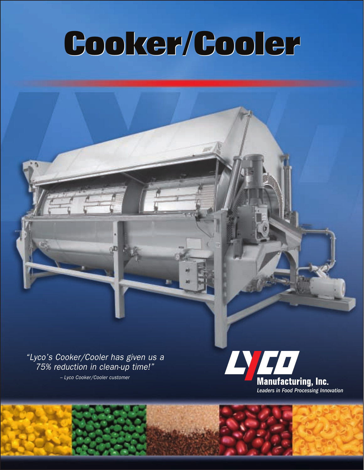# **Cooker/Cooler**

"Lyco's Cooker/Cooler has given us a 75% reduction in clean-up time!" – Lyco Cooker/Cooler customer

ήĐ